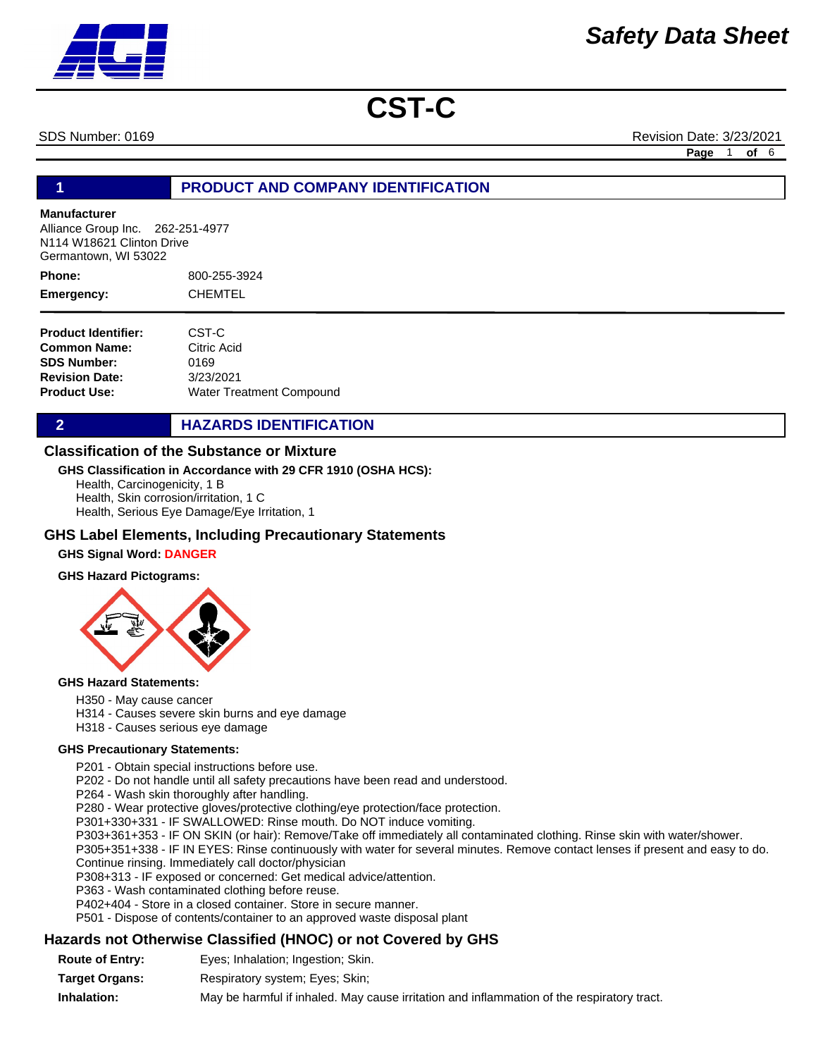SDS Number: 0169 Revision Date: 3/23/2021

**Page** 1 **of** 6

# **1 PRODUCT AND COMPANY IDENTIFICATION**

#### **Manufacturer**

Alliance Group Inc. 262-251-4977 N114 W18621 Clinton Drive Germantown, WI 53022

800-255-3924 CHEMTEL **Phone: Emergency:**

| <b>Product Identifier:</b> | CST-C                           |
|----------------------------|---------------------------------|
| Common Name:               | Citric Acid                     |
| <b>SDS Number:</b>         | 0169                            |
| <b>Revision Date:</b>      | 3/23/2021                       |
| Product Use:               | <b>Water Treatment Compound</b> |

**2 HAZARDS IDENTIFICATION** 

# **Classification of the Substance or Mixture**

#### **GHS Classification in Accordance with 29 CFR 1910 (OSHA HCS):**

Health, Carcinogenicity, 1 B

Health, Skin corrosion/irritation, 1 C Health, Serious Eye Damage/Eye Irritation, 1

# **GHS Label Elements, Including Precautionary Statements**

# **GHS Signal Word: DANGER**

#### **GHS Hazard Pictograms:**



#### **GHS Hazard Statements:**

H350 - May cause cancer

- H314 Causes severe skin burns and eye damage
- H318 Causes serious eye damage

#### **GHS Precautionary Statements:**

P201 - Obtain special instructions before use.

P202 - Do not handle until all safety precautions have been read and understood.

P264 - Wash skin thoroughly after handling.

P280 - Wear protective gloves/protective clothing/eye protection/face protection.

P301+330+331 - IF SWALLOWED: Rinse mouth. Do NOT induce vomiting.

P303+361+353 - IF ON SKIN (or hair): Remove/Take off immediately all contaminated clothing. Rinse skin with water/shower.

P305+351+338 - IF IN EYES: Rinse continuously with water for several minutes. Remove contact lenses if present and easy to do. Continue rinsing. Immediately call doctor/physician

P308+313 - IF exposed or concerned: Get medical advice/attention.

P363 - Wash contaminated clothing before reuse.

P402+404 - Store in a closed container. Store in secure manner.

P501 - Dispose of contents/container to an approved waste disposal plant

# **Hazards not Otherwise Classified (HNOC) or not Covered by GHS**

**Route of Entry:** Eyes; Inhalation; Ingestion; Skin.

**Target Organs:** Respiratory system; Eyes; Skin;

**Inhalation:** May be harmful if inhaled. May cause irritation and inflammation of the respiratory tract.

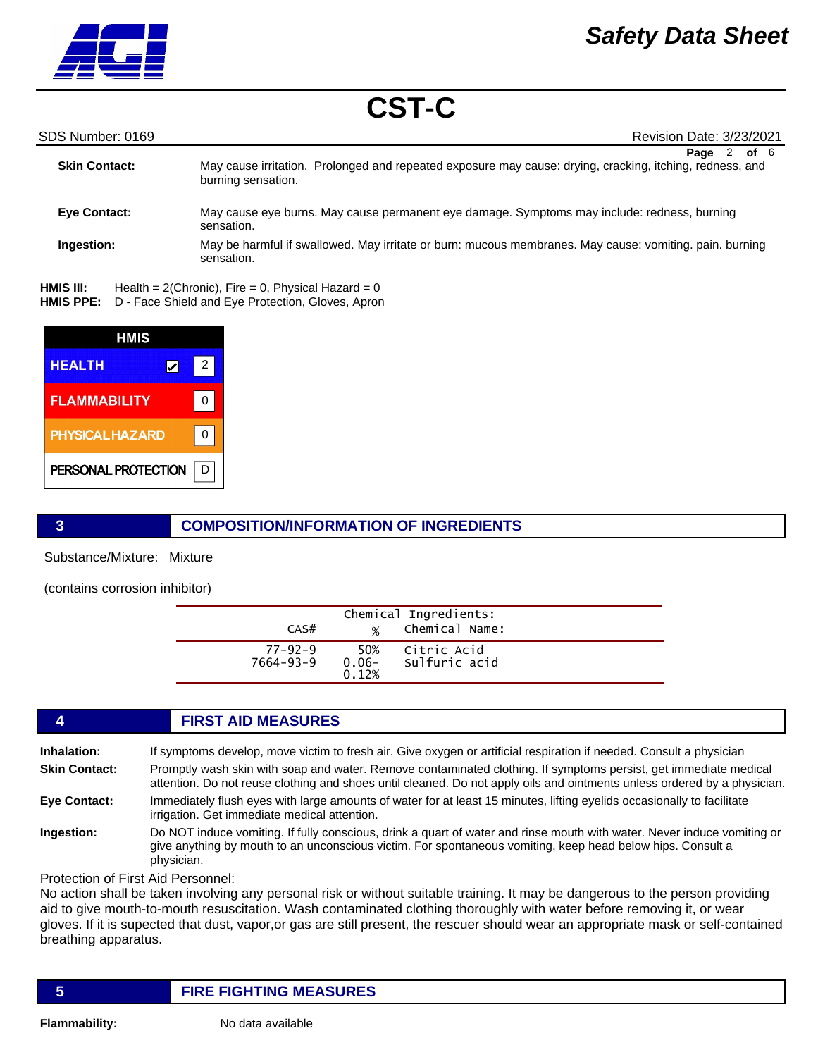

SDS Number: 0169 Revision Date: 3/23/2021

| <b>Skin Contact:</b> | of 6<br>Page<br>May cause irritation. Prolonged and repeated exposure may cause: drying, cracking, itching, redness, and<br>burning sensation. |  |
|----------------------|------------------------------------------------------------------------------------------------------------------------------------------------|--|
| <b>Eye Contact:</b>  | May cause eye burns. May cause permanent eye damage. Symptoms may include: redness, burning<br>sensation.                                      |  |
| Ingestion:           | May be harmful if swallowed. May irritate or burn: mucous membranes. May cause: vomiting. pain. burning<br>sensation.                          |  |

Health =  $2$ (Chronic), Fire = 0, Physical Hazard = 0 HMIS PPE: D - Face Shield and Eye Protection, Gloves, Apron **HMIS III:** 

| HMIS                   |   |   |
|------------------------|---|---|
| <b>HEALTH</b>          | ⋁ | 2 |
| <b>FLAMMABILITY</b>    |   |   |
| <b>PHYSICAL HAZARD</b> |   |   |
| PERSONAL PROTECTION    |   |   |

# **3 COMPOSITION/INFORMATION OF INGREDIENTS**

Substance/Mixture: Mixture

(contains corrosion inhibitor)

| CAS#                       | $\frac{1}{2}$            | Chemical Ingredients:<br>Chemical Name: |  |
|----------------------------|--------------------------|-----------------------------------------|--|
| $77 - 92 - 9$<br>7664-93-9 | 50%<br>$0.06 -$<br>0.12% | Citric Acid<br>Sulfuric acid            |  |

# **4 FIRST AID MEASURES**

| <b>Inhalation:</b>   | If symptoms develop, move victim to fresh air. Give oxygen or artificial respiration if needed. Consult a physician                                                                                                                          |
|----------------------|----------------------------------------------------------------------------------------------------------------------------------------------------------------------------------------------------------------------------------------------|
| <b>Skin Contact:</b> | Promptly wash skin with soap and water. Remove contaminated clothing. If symptoms persist, get immediate medical<br>attention. Do not reuse clothing and shoes until cleaned. Do not apply oils and ointments unless ordered by a physician. |
| <b>Eye Contact:</b>  | Immediately flush eyes with large amounts of water for at least 15 minutes, lifting eyelids occasionally to facilitate<br>irrigation. Get immediate medical attention.                                                                       |
| .                    |                                                                                                                                                                                                                                              |

**Ingestion:** Do NOT induce vomiting. If fully conscious, drink a quart of water and rinse mouth with water. Never induce vomiting or give anything by mouth to an unconscious victim. For spontaneous vomiting, keep head below hips. Consult a physician.

Protection of First Aid Personnel:

No action shall be taken involving any personal risk or without suitable training. It may be dangerous to the person providing aid to give mouth-to-mouth resuscitation. Wash contaminated clothing thoroughly with water before removing it, or wear gloves. If it is supected that dust, vapor,or gas are still present, the rescuer should wear an appropriate mask or self-contained breathing apparatus.

# **5 FIRE FIGHTING MEASURES**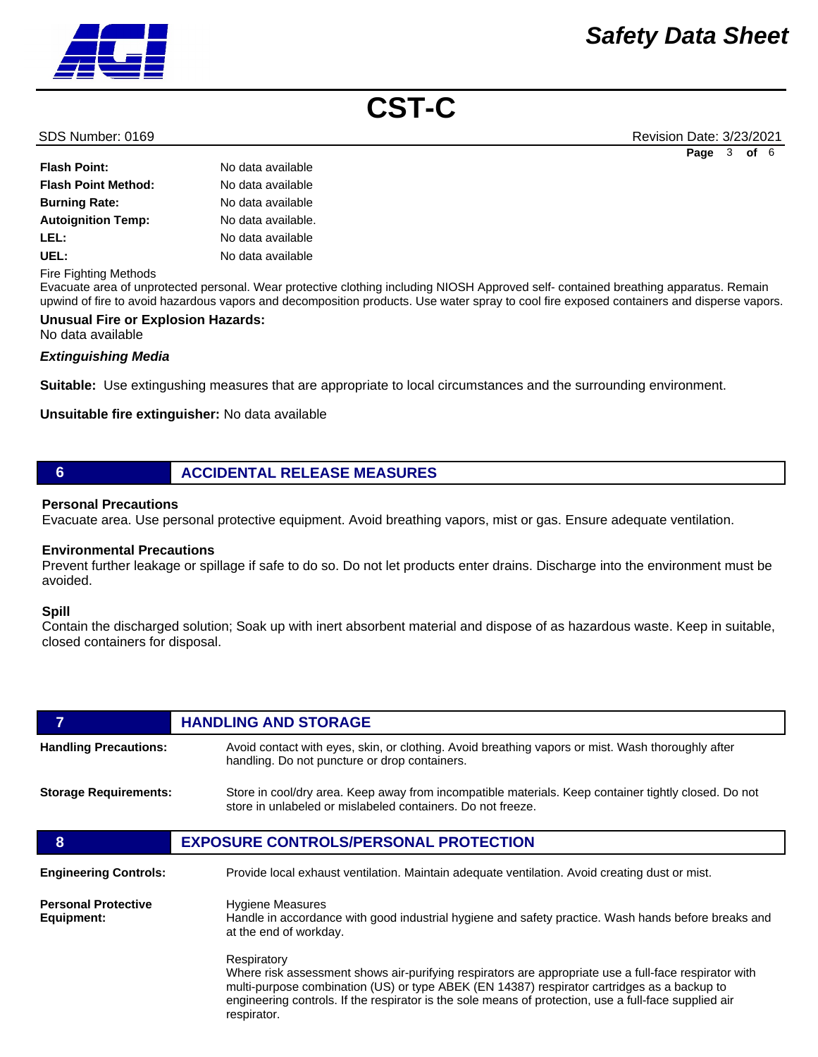

SDS Number: 0169 Revision Date: 3/23/2021 **Page** 3 **of** 6

| <b>Flash Point:</b>        | No data available  |
|----------------------------|--------------------|
| <b>Flash Point Method:</b> | No data available  |
| <b>Burning Rate:</b>       | No data available  |
| <b>Autoignition Temp:</b>  | No data available. |
| LEL:                       | No data available  |
| UEL:                       | No data available  |
|                            |                    |

Fire Fighting Methods

Evacuate area of unprotected personal. Wear protective clothing including NIOSH Approved self- contained breathing apparatus. Remain upwind of fire to avoid hazardous vapors and decomposition products. Use water spray to cool fire exposed containers and disperse vapors.

# **Unusual Fire or Explosion Hazards:**

No data available

# *Extinguishing Media*

**Suitable:** Use extingushing measures that are appropriate to local circumstances and the surrounding environment.

**Unsuitable fire extinguisher:** No data available

# **6 ACCIDENTAL RELEASE MEASURES**

#### **Personal Precautions**

Evacuate area. Use personal protective equipment. Avoid breathing vapors, mist or gas. Ensure adequate ventilation.

# **Environmental Precautions**

Prevent further leakage or spillage if safe to do so. Do not let products enter drains. Discharge into the environment must be avoided.

#### **Spill**

Contain the discharged solution; Soak up with inert absorbent material and dispose of as hazardous waste. Keep in suitable, closed containers for disposal.

| 7                                        | <b>HANDLING AND STORAGE</b>                                                                                                                                                                                                                                                                                                                 |  |
|------------------------------------------|---------------------------------------------------------------------------------------------------------------------------------------------------------------------------------------------------------------------------------------------------------------------------------------------------------------------------------------------|--|
| <b>Handling Precautions:</b>             | Avoid contact with eyes, skin, or clothing. Avoid breathing vapors or mist. Wash thoroughly after<br>handling. Do not puncture or drop containers.                                                                                                                                                                                          |  |
| <b>Storage Requirements:</b>             | Store in cool/dry area. Keep away from incompatible materials. Keep container tightly closed. Do not<br>store in unlabeled or mislabeled containers. Do not freeze.                                                                                                                                                                         |  |
| 8                                        | <b>EXPOSURE CONTROLS/PERSONAL PROTECTION</b>                                                                                                                                                                                                                                                                                                |  |
| <b>Engineering Controls:</b>             | Provide local exhaust ventilation. Maintain adequate ventilation. Avoid creating dust or mist.                                                                                                                                                                                                                                              |  |
| <b>Personal Protective</b><br>Equipment: | Hygiene Measures<br>Handle in accordance with good industrial hygiene and safety practice. Wash hands before breaks and<br>at the end of workday.                                                                                                                                                                                           |  |
|                                          | Respiratory<br>Where risk assessment shows air-purifying respirators are appropriate use a full-face respirator with<br>multi-purpose combination (US) or type ABEK (EN 14387) respirator cartridges as a backup to<br>engineering controls. If the respirator is the sole means of protection, use a full-face supplied air<br>respirator. |  |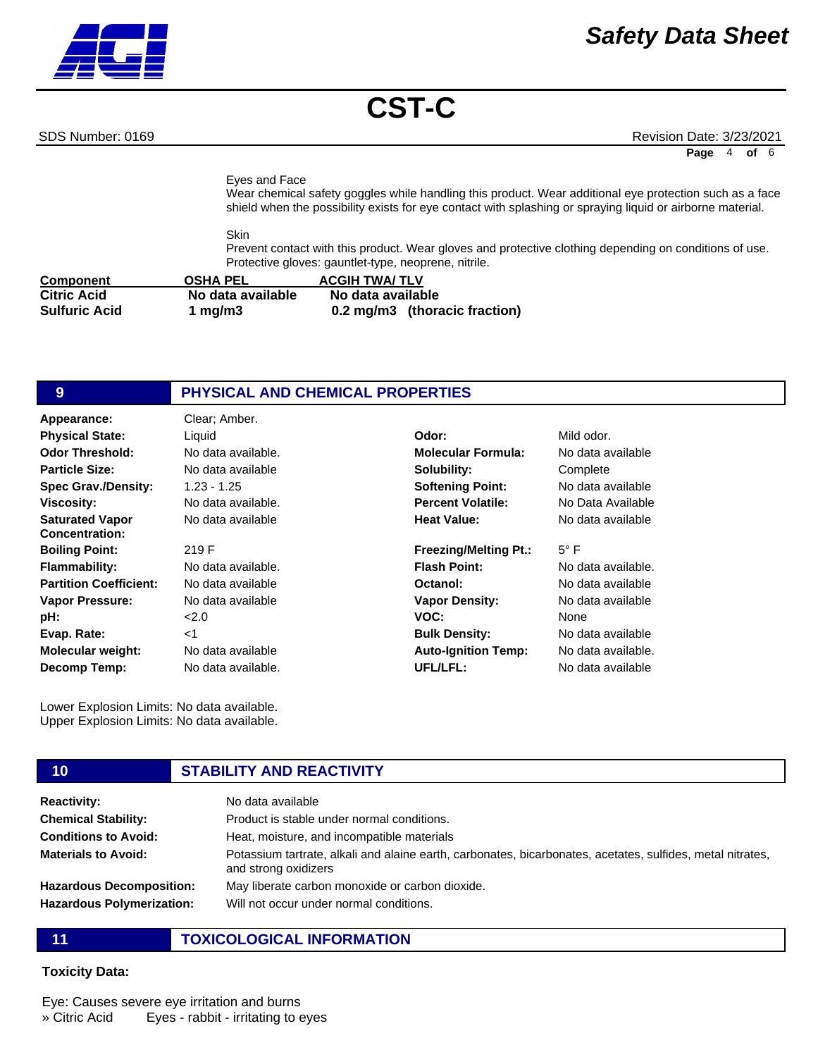SDS Number: 0169 Revision Date: 3/23/2021

**Page** 4 **of** 6

Eyes and Face

Wear chemical safety goggles while handling this product. Wear additional eye protection such as a face shield when the possibility exists for eye contact with splashing or spraying liquid or airborne material.

Skin Prevent contact with this product. Wear gloves and protective clothing depending on conditions of use. Protective gloves: gauntlet-type, neoprene, nitrile.

| <b>Component</b>     | <b>OSHA PEL</b>   | <b>ACGIH TWA/ TLV</b>         |
|----------------------|-------------------|-------------------------------|
| <b>Citric Acid</b>   | No data available | No data available             |
| <b>Sulfuric Acid</b> | 1 mg/m $3$        | 0.2 mg/m3 (thoracic fraction) |

# **9 PHYSICAL AND CHEMICAL PROPERTIES**

| Clear; Amber.      |                              |                    |
|--------------------|------------------------------|--------------------|
| Liquid             | Odor:                        | Mild odor.         |
| No data available. | <b>Molecular Formula:</b>    | No data available  |
| No data available  | Solubility:                  | Complete           |
| $1.23 - 1.25$      | <b>Softening Point:</b>      | No data available  |
| No data available. | <b>Percent Volatile:</b>     | No Data Available  |
| No data available  | <b>Heat Value:</b>           | No data available  |
| 219 F              | <b>Freezing/Melting Pt.:</b> | $5^{\circ}$ F      |
| No data available. | <b>Flash Point:</b>          | No data available. |
| No data available  | Octanol:                     | No data available  |
| No data available  | <b>Vapor Density:</b>        | No data available  |
| 2.0                | VOC:                         | None               |
| $<$ 1              | <b>Bulk Density:</b>         | No data available  |
| No data available  | <b>Auto-Ignition Temp:</b>   | No data available. |
| No data available. | UFL/LFL:                     | No data available  |
|                    |                              |                    |

Lower Explosion Limits: No data available. Upper Explosion Limits: No data available.

#### **10 STABILITY AND REACTIVITY Reactivity:** No data available **Chemical Stability: Conditions to Avoid: Materials to Avoid: Hazardous Decomposition: Hazardous Polymerization:** Product is stable under normal conditions. Heat, moisture, and incompatible materials Potassium tartrate, alkali and alaine earth, carbonates, bicarbonates, acetates, sulfides, metal nitrates, and strong oxidizers May liberate carbon monoxide or carbon dioxide. Will not occur under normal conditions.

# **11 TOXICOLOGICAL INFORMATION**

# **Toxicity Data:**

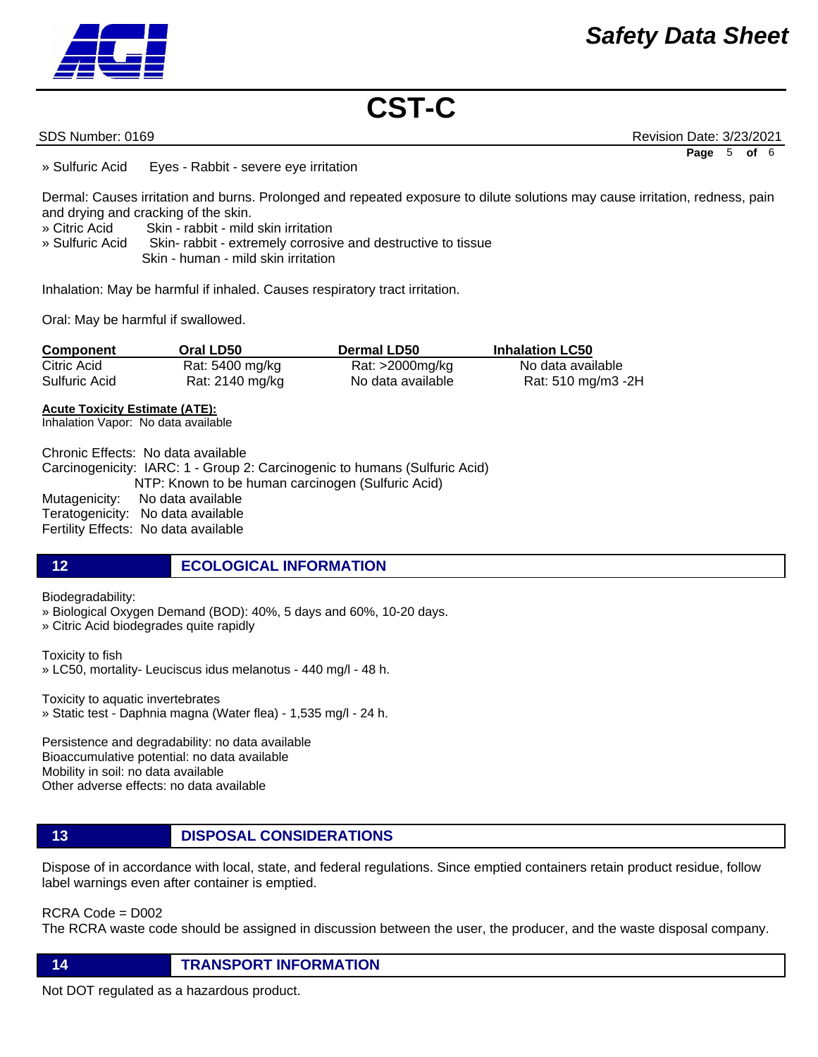SDS Number: 0169 Revision Date: 3/23/2021 **Page** 5 **of** 6

» Sulfuric Acid Eyes - Rabbit - severe eye irritation

Dermal: Causes irritation and burns. Prolonged and repeated exposure to dilute solutions may cause irritation, redness, pain and drying and cracking of the skin.

- » Citric Acid Skin rabbit mild skin irritation
- » Sulfuric Acid Skin- rabbit extremely corrosive and destructive to tissue Skin - human - mild skin irritation

Inhalation: May be harmful if inhaled. Causes respiratory tract irritation.

Oral: May be harmful if swallowed.

| Component     | Oral LD50       | <b>Dermal LD50</b> | <b>Inhalation LC50</b> |
|---------------|-----------------|--------------------|------------------------|
| Citric Acid   | Rat: 5400 mg/kg | Rat: >2000mg/kg    | No data available      |
| Sulfuric Acid | Rat: 2140 mg/kg | No data available  | Rat: 510 mg/m3 -2H     |

#### **Acute Toxicity Estimate (ATE):**

Inhalation Vapor: No data available

Chronic Effects: No data available Carcinogenicity: IARC: 1 - Group 2: Carcinogenic to humans (Sulfuric Acid) NTP: Known to be human carcinogen (Sulfuric Acid) Mutagenicity: No data available Teratogenicity: No data available Fertility Effects: No data available

# **12 ECOLOGICAL INFORMATION**

Biodegradability:

» Biological Oxygen Demand (BOD): 40%, 5 days and 60%, 10-20 days.

» Citric Acid biodegrades quite rapidly

Toxicity to fish

» LC50, mortality- Leuciscus idus melanotus - 440 mg/l - 48 h.

Toxicity to aquatic invertebrates

» Static test - Daphnia magna (Water flea) - 1,535 mg/l - 24 h.

Persistence and degradability: no data available Bioaccumulative potential: no data available Mobility in soil: no data available Other adverse effects: no data available

# **13 DISPOSAL CONSIDERATIONS**

Dispose of in accordance with local, state, and federal regulations. Since emptied containers retain product residue, follow label warnings even after container is emptied.

RCRA Code = D002

The RCRA waste code should be assigned in discussion between the user, the producer, and the waste disposal company.

**14 TRANSPORT INFORMATION**

Not DOT regulated as a hazardous product.